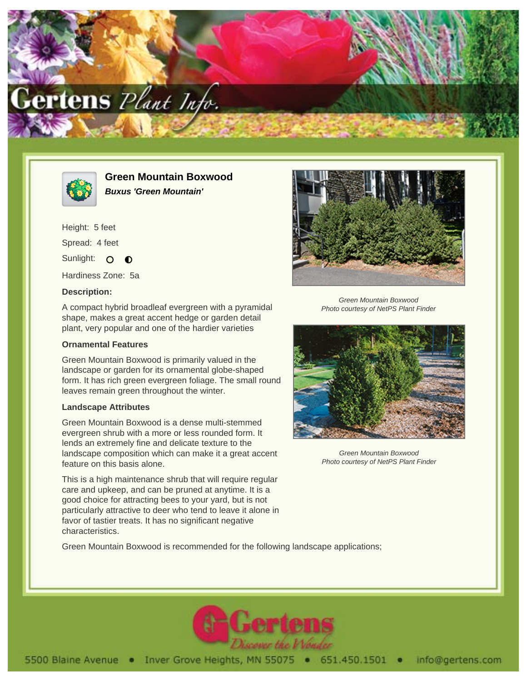



**Green Mountain Boxwood Buxus 'Green Mountain'**

Height: 5 feet Spread: 4 feet Sunlight: O  $\bullet$ 

Hardiness Zone: 5a

## **Description:**

A compact hybrid broadleaf evergreen with a pyramidal shape, makes a great accent hedge or garden detail plant, very popular and one of the hardier varieties

## **Ornamental Features**

Green Mountain Boxwood is primarily valued in the landscape or garden for its ornamental globe-shaped form. It has rich green evergreen foliage. The small round leaves remain green throughout the winter.

## **Landscape Attributes**

Green Mountain Boxwood is a dense multi-stemmed evergreen shrub with a more or less rounded form. It lends an extremely fine and delicate texture to the landscape composition which can make it a great accent feature on this basis alone.

This is a high maintenance shrub that will require regular care and upkeep, and can be pruned at anytime. It is a good choice for attracting bees to your yard, but is not particularly attractive to deer who tend to leave it alone in favor of tastier treats. It has no significant negative characteristics.



Green Mountain Boxwood Photo courtesy of NetPS Plant Finder



Green Mountain Boxwood Photo courtesy of NetPS Plant Finder

Green Mountain Boxwood is recommended for the following landscape applications;